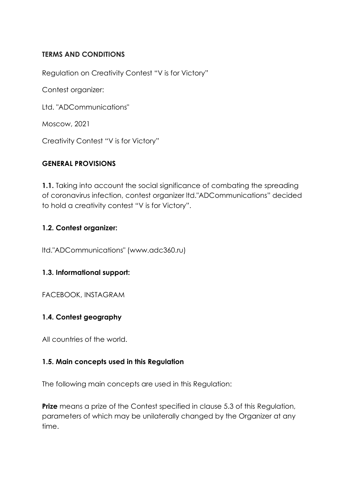## **TERMS AND CONDITIONS**

Regulation on Creativity Contest "V is for Victory"

Contest organizer:

Ltd. "ADCommunications"

Moscow, 2021

Creativity Contest "V is for Victory"

#### **GENERAL PROVISIONS**

**1.1.** Taking into account the social significance of combating the spreading of coronavirus infection, contest organizer ltd."ADCommunications" decided to hold a creativity contest "V is for Victory".

#### **1.2. Contest organizer:**

ltd."ADCommunications" [\(www.adc360.ru\)](https://www.adc360.ru/)

## **1.3. Informational support:**

FACEBOOK, INSTAGRAM

## **1.4. Contest geography**

All countries of the world.

#### **1.5. Main concepts used in this Regulation**

The following main concepts are used in this Regulation:

**Prize** means a prize of the Contest specified in clause 5.3 of this Regulation, parameters of which may be unilaterally changed by the Organizer at any time.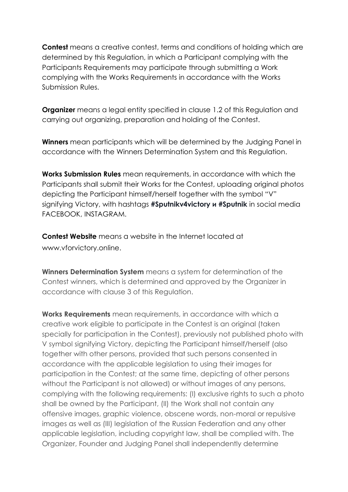**Contest** means a creative contest, terms and conditions of holding which are determined by this Regulation, in which a Participant complying with the Participants Requirements may participate through submitting a Work complying with the Works Requirements in accordance with the Works Submission Rules.

**Organizer** means a legal entity specified in clause 1.2 of this Regulation and carrying out organizing, preparation and holding of the Contest.

**Winners** mean participants which will be determined by the Judging Panel in accordance with the Winners Determination System and this Regulation.

**Works Submission Rules** mean requirements, in accordance with which the Participants shall submit their Works for the Contest, uploading original photos depicting the Participant himself/herself together with the symbol "V" signifying Victory, with hashtags **#Sputnikv4victory и #Sputnik** in social media FACEBOOK, INSTAGRAM.

**Contest Website** means a website in the Internet located at [www.vforvictory.online.](http://www.vforvictory.online/)

**Winners Determination System** means a system for determination of the Contest winners, which is determined and approved by the Organizer in accordance with clause 3 of this Regulation.

**Works Requirements** mean requirements, in accordance with which a creative work eligible to participate in the Contest is an original (taken specially for participation in the Contest), previously not published photo with V symbol signifying Victory, depicting the Participant himself/herself (also together with other persons, provided that such persons consented in accordance with the applicable legislation to using their images for participation in the Contest; at the same time, depicting of other persons without the Participant is not allowed) or without images of any persons, complying with the following requirements: (I) exclusive rights to such a photo shall be owned by the Participant, (II) the Work shall not contain any offensive images, graphic violence, obscene words, non-moral or repulsive images as well as (III) legislation of the Russian Federation and any other applicable legislation, including copyright law, shall be complied with. The Organizer, Founder and Judging Panel shall independently determine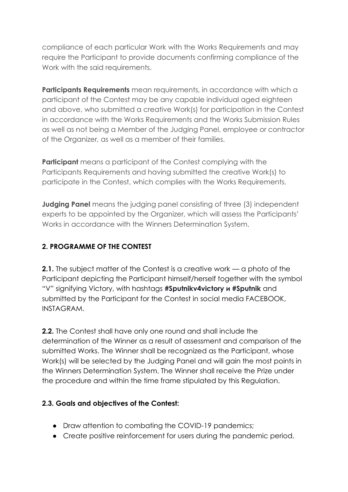compliance of each particular Work with the Works Requirements and may require the Participant to provide documents confirming compliance of the Work with the said requirements.

**Participants Requirements** mean requirements, in accordance with which a participant of the Contest may be any capable individual aged eighteen and above, who submitted a creative Work(s) for participation in the Contest in accordance with the Works Requirements and the Works Submission Rules as well as not being a Member of the Judging Panel, employee or contractor of the Organizer, as well as a member of their families.

**Participant** means a participant of the Contest complying with the Participants Requirements and having submitted the creative Work(s) to participate in the Contest, which complies with the Works Requirements.

**Judging Panel** means the judging panel consisting of three (3) independent experts to be appointed by the Organizer, which will assess the Participants' Works in accordance with the Winners Determination System.

# **2. PROGRAMME OF THE CONTEST**

**2.1.** The subject matter of the Contest is a creative work — a photo of the Participant depicting the Participant himself/herself together with the symbol "V" signifying Victory, with hashtags **#Sputnikv4victory и #Sputnik** and submitted by the Participant for the Contest in social media FACEBOOK, INSTAGRAM.

**2.2.** The Contest shall have only one round and shall include the determination of the Winner as a result of assessment and comparison of the submitted Works. The Winner shall be recognized as the Participant, whose Work(s) will be selected by the Judging Panel and will gain the most points in the Winners Determination System. The Winner shall receive the Prize under the procedure and within the time frame stipulated by this Regulation.

## **2.3. Goals and objectives of the Contest:**

- Draw attention to combating the COVID-19 pandemics;
- Create positive reinforcement for users during the pandemic period.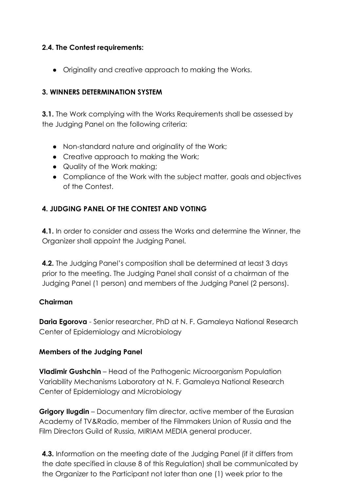## **2.4. The Contest requirements:**

● Originality and creative approach to making the Works.

## **3. WINNERS DETERMINATION SYSTEM**

**3.1.** The Work complying with the Works Requirements shall be assessed by the Judging Panel on the following criteria:

- Non-standard nature and originality of the Work;
- Creative approach to making the Work;
- Quality of the Work making;
- Compliance of the Work with the subject matter, goals and objectives of the Contest.

# **4. JUDGING PANEL OF THE CONTEST AND VOTING**

**4.1.** In order to consider and assess the Works and determine the Winner, the Organizer shall appoint the Judging Panel.

**4.2.** The Judging Panel's composition shall be determined at least 3 days prior to the meeting. The Judging Panel shall consist of a chairman of the Judging Panel (1 person) and members of the Judging Panel (2 persons).

#### **Chairman**

**Daria Egorova** - Senior researcher, PhD at N. F. Gamaleya National Research Center of Epidemiology and Microbiology

#### **Members of the Judging Panel**

**Vladimir Gushchin** – Head of the Pathogenic Microorganism Population Variability Mechanisms Laboratory at N. F. Gamaleya National Research Center of Epidemiology and Microbiology

**Grigory Ilugdin** – Documentary film director, active member of the Eurasian Academy of TV&Radio, member of the Filmmakers Union of Russia and the Film Directors Guild of Russia, MIRIAM MEDIA general producer.

**4.3.** Information on the meeting date of the Judging Panel (if it differs from the date specified in clause 8 of this Regulation) shall be communicated by the Organizer to the Participant not later than one (1) week prior to the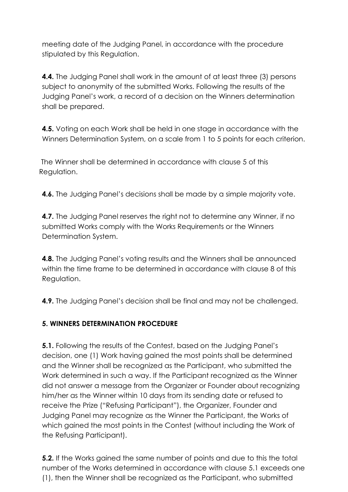meeting date of the Judging Panel, in accordance with the procedure stipulated by this Regulation.

**4.4.** The Judging Panel shall work in the amount of at least three (3) persons subject to anonymity of the submitted Works. Following the results of the Judging Panel's work, a record of a decision on the Winners determination shall be prepared.

**4.5.** Voting on each Work shall be held in one stage in accordance with the Winners Determination System, on a scale from 1 to 5 points for each criterion.

The Winner shall be determined in accordance with clause 5 of this Regulation.

**4.6.** The Judging Panel's decisions shall be made by a simple majority vote.

**4.7.** The Judging Panel reserves the right not to determine any Winner, if no submitted Works comply with the Works Requirements or the Winners Determination System.

**4.8.** The Judging Panel's voting results and the Winners shall be announced within the time frame to be determined in accordance with clause 8 of this Regulation.

**4.9.** The Judging Panel's decision shall be final and may not be challenged.

# **5. WINNERS DETERMINATION PROCEDURE**

**5.1.** Following the results of the Contest, based on the Judging Panel's decision, one (1) Work having gained the most points shall be determined and the Winner shall be recognized as the Participant, who submitted the Work determined in such a way. If the Participant recognized as the Winner did not answer a message from the Organizer or Founder about recognizing him/her as the Winner within 10 days from its sending date or refused to receive the Prize ("Refusing Participant"), the Organizer, Founder and Judging Panel may recognize as the Winner the Participant, the Works of which gained the most points in the Contest (without including the Work of the Refusing Participant).

**5.2.** If the Works gained the same number of points and due to this the total number of the Works determined in accordance with clause 5.1 exceeds one (1), then the Winner shall be recognized as the Participant, who submitted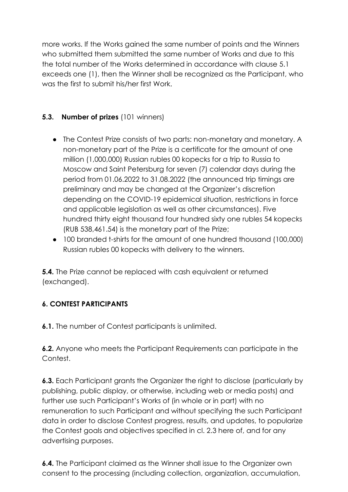more works. If the Works gained the same number of points and the Winners who submitted them submitted the same number of Works and due to this the total number of the Works determined in accordance with clause 5.1 exceeds one (1), then the Winner shall be recognized as the Participant, who was the first to submit his/her first Work.

# **5.3. Number of prizes** (101 winners)

- The Contest Prize consists of two parts: non-monetary and monetary. A non-monetary part of the Prize is a certificate for the amount of one million (1,000,000) Russian rubles 00 kopecks for a trip to Russia to Moscow and Saint Petersburg for seven (7) calendar days during the period from 01.06.2022 to 31.08.2022 (the announced trip timings are preliminary and may be changed at the Organizer's discretion depending on the COVID-19 epidemical situation, restrictions in force and applicable legislation as well as other circumstances). Five hundred thirty eight thousand four hundred sixty one rubles 54 kopecks (RUB 538,461.54) is the monetary part of the Prize;
- 100 branded t-shirts for the amount of one hundred thousand (100,000) Russian rubles 00 kopecks with delivery to the winners.

**5.4.** The Prize cannot be replaced with cash equivalent or returned (exchanged).

# **6. CONTEST PARTICIPANTS**

**6.1.** The number of Contest participants is unlimited.

**6.2.** Anyone who meets the Participant Requirements can participate in the Contest.

**6.3.** Each Participant grants the Organizer the right to disclose (particularly by publishing, public display, or otherwise, including web or media posts) and further use such Participant's Works of (in whole or in part) with no remuneration to such Participant and without specifying the such Participant data in order to disclose Contest progress, results, and updates, to popularize the Contest goals and objectives specified in cl. 2.3 here of, and for any advertising purposes.

**6.4.** The Participant claimed as the Winner shall issue to the Organizer own consent to the processing (including collection, organization, accumulation,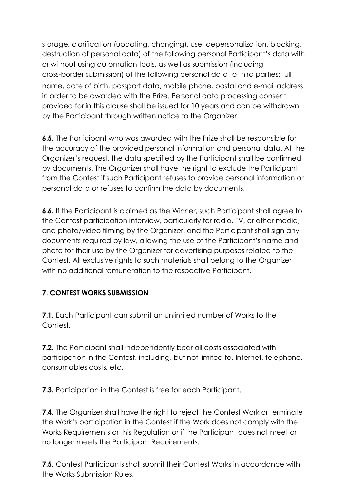storage, clarification (updating, changing), use, depersonalization, blocking, destruction of personal data) of the following personal Participant's data with or without using automation tools, as well as submission (including cross-border submission) of the following personal data to third parties: full name, date of birth, passport data, mobile phone, postal and e-mail address in order to be awarded with the Prize. Personal data processing consent provided for in this clause shall be issued for 10 years and can be withdrawn by the Participant through written notice to the Organizer.

**6.5.** The Participant who was awarded with the Prize shall be responsible for the accuracy of the provided personal information and personal data. At the Organizer's request, the data specified by the Participant shall be confirmed by documents. The Organizer shall have the right to exclude the Participant from the Contest if such Participant refuses to provide personal information or personal data or refuses to confirm the data by documents.

**6.6.** If the Participant is claimed as the Winner, such Participant shall agree to the Contest participation interview, particularly for radio, TV, or other media, and photo/video filming by the Organizer, and the Participant shall sign any documents required by law, allowing the use of the Participant's name and photo for their use by the Organizer for advertising purposes related to the Contest. All exclusive rights to such materials shall belong to the Organizer with no additional remuneration to the respective Participant.

# **7. CONTEST WORKS SUBMISSION**

**7.1.** Each Participant can submit an unlimited number of Works to the Contest.

**7.2.** The Participant shall independently bear all costs associated with participation in the Contest, including, but not limited to, Internet, telephone, consumables costs, etc.

**7.3.** Participation in the Contest is free for each Participant.

**7.4.** The Organizer shall have the right to reject the Contest Work or terminate the Work's participation in the Contest if the Work does not comply with the Works Requirements or this Regulation or if the Participant does not meet or no longer meets the Participant Requirements.

**7.5.** Contest Participants shall submit their Contest Works in accordance with the Works Submission Rules.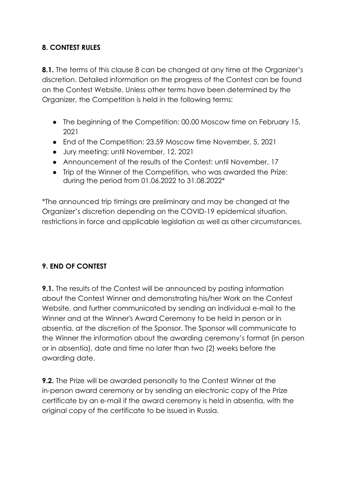## **8. CONTEST RULES**

**8.1.** The terms of this clause 8 can be changed at any time at the Organizer's discretion. Detailed information on the progress of the Contest can be found on the Contest Website. Unless other terms have been determined by the Organizer, the Competition is held in the following terms:

- The beginning of the Competition: 00.00 Moscow time on February 15, 2021
- End of the Competition: 23.59 Moscow time November, 5, 2021
- Jury meeting: until November, 12, 2021
- Announcement of the results of the Contest: until November, 17
- Trip of the Winner of the Competition, who was awarded the Prize: during the period from 01.06.2022 to 31.08.2022\*

\*The announced trip timings are preliminary and may be changed at the Organizer's discretion depending on the COVID-19 epidemical situation, restrictions in force and applicable legislation as well as other circumstances.

## **9. END OF CONTEST**

**9.1.** The results of the Contest will be announced by posting information about the Contest Winner and demonstrating his/her Work on the Contest Website, and further communicated by sending an individual e-mail to the Winner and at the Winner's Award Ceremony to be held in person or in absentia, at the discretion of the Sponsor. The Sponsor will communicate to the Winner the information about the awarding ceremony's format (in person or in absentia), date and time no later than two (2) weeks before the awarding date.

**9.2.** The Prize will be awarded personally to the Contest Winner at the in-person award ceremony or by sending an electronic copy of the Prize certificate by an e-mail if the award ceremony is held in absentia, with the original copy of the certificate to be issued in Russia.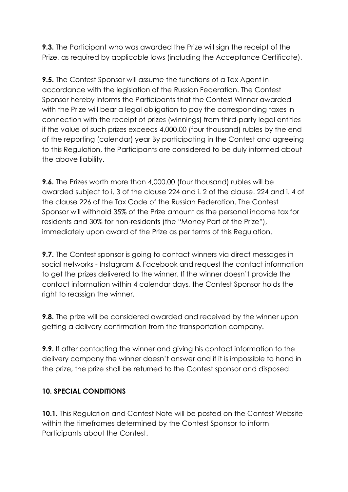**9.3.** The Participant who was awarded the Prize will sign the receipt of the Prize, as required by applicable laws (including the Acceptance Certificate).

**9.5.** The Contest Sponsor will assume the functions of a Tax Agent in accordance with the legislation of the Russian Federation. The Contest Sponsor hereby informs the Participants that the Contest Winner awarded with the Prize will bear a legal obligation to pay the corresponding taxes in connection with the receipt of prizes (winnings) from third-party legal entities if the value of such prizes exceeds 4,000.00 (four thousand) rubles by the end of the reporting (calendar) year By participating in the Contest and agreeing to this Regulation, the Participants are considered to be duly informed about the above liability.

**9.6.** The Prizes worth more than 4,000.00 (four thousand) rubles will be awarded subject to i. 3 of the clause 224 and i. 2 of the clause. 224 and i. 4 of the clause 226 of the Tax Code of the Russian Federation. The Contest Sponsor will withhold 35% of the Prize amount as the personal income tax for residents and 30% for non-residents (the "Money Part of the Prize"), immediately upon award of the Prize as per terms of this Regulation.

**9.7.** The Contest sponsor is going to contact winners via direct messages in social networks - Instagram & Facebook and request the contact information to get the prizes delivered to the winner. If the winner doesn't provide the contact information within 4 calendar days, the Contest Sponsor holds the right to reassign the winner.

**9.8.** The prize will be considered awarded and received by the winner upon getting a delivery confirmation from the transportation company.

**9.9.** If after contacting the winner and giving his contact information to the delivery company the winner doesn't answer and if it is impossible to hand in the prize, the prize shall be returned to the Contest sponsor and disposed.

## **10. SPECIAL CONDITIONS**

**10.1.** This Regulation and Contest Note will be posted on the Contest Website within the timeframes determined by the Contest Sponsor to inform Participants about the Contest.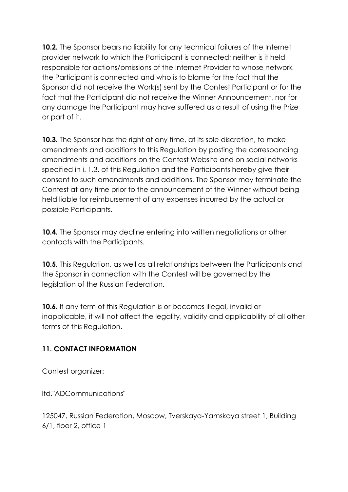**10.2.** The Sponsor bears no liability for any technical failures of the Internet provider network to which the Participant is connected; neither is it held responsible for actions/omissions of the Internet Provider to whose network the Participant is connected and who is to blame for the fact that the Sponsor did not receive the Work(s) sent by the Contest Participant or for the fact that the Participant did not receive the Winner Announcement, nor for any damage the Participant may have suffered as a result of using the Prize or part of it.

**10.3.** The Sponsor has the right at any time, at its sole discretion, to make amendments and additions to this Regulation by posting the corresponding amendments and additions on the Contest Website and on social networks specified in i. 1.3. of this Regulation and the Participants hereby give their consent to such amendments and additions. The Sponsor may terminate the Contest at any time prior to the announcement of the Winner without being held liable for reimbursement of any expenses incurred by the actual or possible Participants.

**10.4.** The Sponsor may decline entering into written negotiations or other contacts with the Participants.

**10.5.** This Regulation, as well as all relationships between the Participants and the Sponsor in connection with the Contest will be governed by the legislation of the Russian Federation.

**10.6.** If any term of this Regulation is or becomes illegal, invalid or inapplicable, it will not affect the legality, validity and applicability of all other terms of this Regulation.

# **11. CONTACT INFORMATION**

Contest organizer:

ltd."ADCommunications"

125047, Russian Federation, Moscow, Tverskaya-Yamskaya street 1, Building 6/1, floor 2, office 1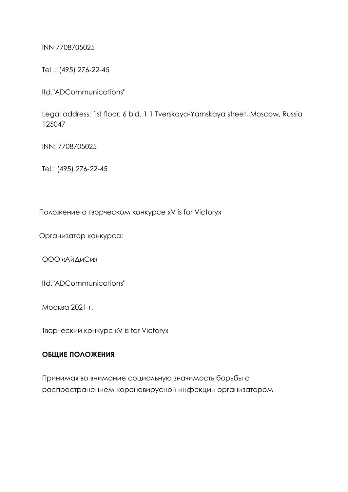INN 7708705025

Tel .: (495) 276-22-45

ltd."ADCommunications"

Legal address: 1st floor, 6 bld. 1 1 Tverskaya-Yamskaya street, Moscow, Russia 125047

INN: 7708705025

Теl.: (495) 276-22-45

Положение о творческом конкурсе «V is for Victory»

Организатор конкурса:

ООО «АйДиСи»

ltd."ADCommunications"

Москва 2021 г.

Творческий конкурс «V is for Victory»

#### **ОБЩИЕ ПОЛОЖЕНИЯ**

Принимая во внимание социальную значимость борьбы с распространением коронавирусной инфекции организатором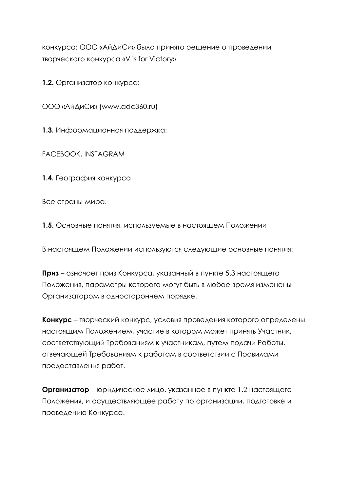конкурса: ООО «АйДиСи» было принято решение о проведении творческого конкурса «V is for Victory».

**1.2.** Организатор конкурса:

ООО «АйДиСи» ([www.adc360.ru\)](https://www.adc360.ru/)

**1.3.** Информационная поддержка:

FACEBOOK, INSTAGRAM

**1.4.** География конкурса

Все страны мира.

**1.5.** Основные понятия, используемые в настоящем Положении

В настоящем Положении используются следующие основные понятия:

**Приз** – означает приз Конкурса, указанный в пункте 5.3 настоящего Положения, параметры которого могут быть в любое время изменены Организатором в одностороннем порядке.

**Конкурс** – творческий конкурс, условия проведения которого определены настоящим Положением, участие в котором может принять Участник, соответствующий Требованиям к участникам, путем подачи Работы, отвечающей Требованиям к работам в соответствии с Правилами предоставления работ.

**Организатор** – юридическое лицо, указанное в пункте 1.2 настоящего Положения, и осуществляющее работу по организации, подготовке и проведению Конкурса.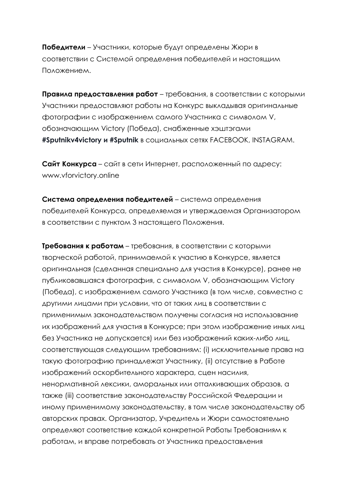**Победители** – Участники, которые будут определены Жюри в соответствии с Системой определения победителей и настоящим Положением.

**Правила предоставления работ** – требования, в соответствии с которыми Участники предоставляют работы на Конкурс выкладывая оригинальные фотографии с изображением самого Участника с символом V, обозначающим Victory (Победа), снабженные хэштэгами **#Sputnikv4victory и #Sputnik** в социальных сетях FACEBOOK, INSTAGRAM.

**Сайт Конкурса** – сайт в сети Интернет, расположенный по адресу: [www.vforvictory.online](http://www.vforvictory.online/)

**Система определения победителей** – система определения победителей Конкурса, определяемая и утверждаемая Организатором в соответствии с пунктом 3 настоящего Положения.

**Требования к работам** – требования, в соответствии с которыми творческой работой, принимаемой к участию в Конкурсе, является оригинальная (сделанная специально для участия в Конкурсе), ранее не публиковавшаяся фотография, с символом V, обозначающим Victory (Победа), с изображением самого Участника (в том числе, совместно с другими лицами при условии, что от таких лиц в соответствии с применимым законодательством получены согласия на использование их изображений для участия в Конкурсе; при этом изображение иных лиц без Участника не допускается) или без изображений каких-либо лиц, соответствующая следующим требованиям: (i) исключительные права на такую фотографию принадлежат Участнику, (ii) отсутствие в Работе изображений оскорбительного характера, сцен насилия, ненормативной лексики, аморальных или отталкивающих образов, а также (iii) соответствие законодательству Российской Федерации и иному применимому законодательству, в том числе законодательству об авторских правах. Организатор, Учредитель и Жюри самостоятельно определяют соответствие каждой конкретной Работы Требованиям к работам, и вправе потребовать от Участника предоставления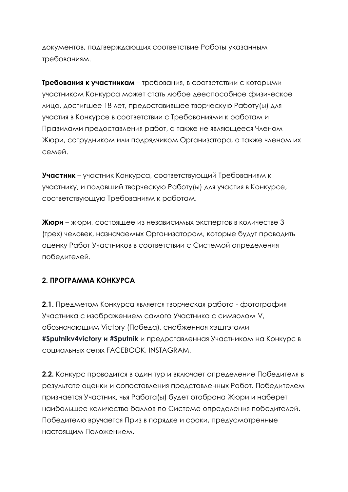документов, подтверждающих соответствие Работы указанным требованиям.

**Требования к участникам** – требования, в соответствии с которыми участником Конкурса может стать любое дееспособное физическое лицо, достигшее 18 лет, предоставившее творческую Работу(ы) для участия в Конкурсе в соответствии с Требованиями к работам и Правилами предоставления работ, а также не являющееся Членом Жюри, сотрудником или подрядчиком Организатора, а также членом их семей.

**Участник** – участник Конкурса, соответствующий Требованиям к участнику, и подавший творческую Работу(ы) для участия в Конкурсе, соответствующую Требованиям к работам.

**Жюри** – жюри, состоящее из независимых экспертов в количестве 3 (трех) человек, назначаемых Организатором, которые будут проводить оценку Работ Участников в соответствии с Системой определения победителей.

# **2. ПРОГРАММА КОНКУРСА**

**2.1.** Предметом Конкурса является творческая работа - фотография Участника с изображением самого Участника с символом V, обозначающим Victory (Победа), снабженная хэштэгами **#Sputnikv4victory и #Sputnik** и предоставленная Участником на Конкурс в социальных сетях FACEBOOK, INSTAGRAM.

**2.2.** Конкурс проводится в один тур и включает определение Победителя в результате оценки и сопоставления представленных Работ. Победителем признается Участник, чья Работа(ы) будет отобрана Жюри и наберет наибольшее количество баллов по Системе определения победителей. Победителю вручается Приз в порядке и сроки, предусмотренные настоящим Положением.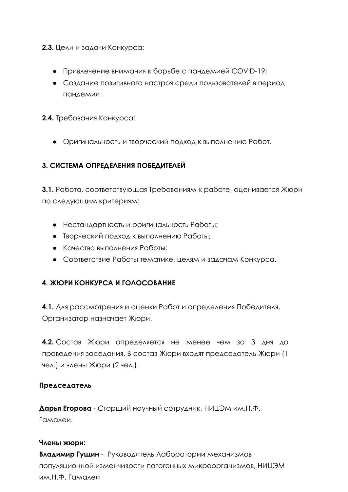**2.3.** Цели и задачи Конкурса:

- Привлечение внимания к борьбе с пандемией COVID-19;
- Создание позитивного настроя среди пользователей в период пандемии.

**2.4.** Требования Конкурса:

● Оригинальность и творческий подход к выполнению Работ.

## **3. СИСТЕМА ОПРЕДЕЛЕНИЯ ПОБЕДИТЕЛЕЙ**

**3.1.** Работа, соответствующая Требованиям к работе, оценивается Жюри по следующим критериям:

- Нестандартность и оригинальность Работы;
- Творческий подход к выполнению Работы;
- Качество выполнения Работы;
- Соответствие Работы тематике, целям и задачам Конкурса.

## **4. ЖЮРИ КОНКУРСА И ГОЛОСОВАНИЕ**

**4.1.** Для рассмотрения и оценки Работ и определения Победителя, Организатор назначает Жюри.

**4.2.** Состав Жюри определяется не менее чем за 3 дня до проведения заседания. В состав Жюри входят председатель Жюри (1 чел.) и члены Жюри (2 чел.).

#### **Председатель**

**Дарья Егорова** - Старший научный сотрудник, НИЦЭМ им.Н.Ф. Гамалеи.

#### **Члены жюри:**

**Владимир Гущин** - Руководитель Лаборатории механизмов популяционной изменчивости патогенных микроорганизмов, НИЦЭМ им.Н.Ф. Гамалеи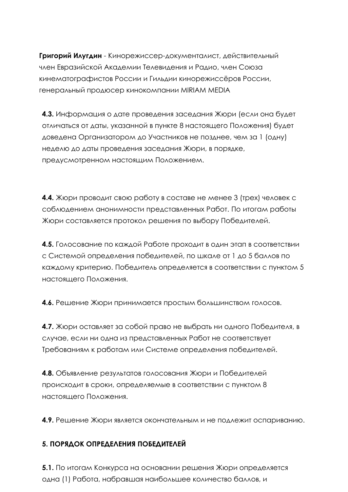**Григорий Илугдин** - Кинорежиссер-документалист, действительный член Евразийской Академии Телевидения и Радио, член Союза кинематографистов России и Гильдии кинорежиссёров России, генеральный продюсер кинокомпании MIRIAM MEDIA

**4.3.** Информация о дате проведения заседания Жюри (если она будет отличаться от даты, указанной в пункте 8 настоящего Положения) будет доведена Организатором до Участников не позднее, чем за 1 (одну) неделю до даты проведения заседания Жюри, в порядке, предусмотренном настоящим Положением.

**4.4.** Жюри проводит свою работу в составе не менее 3 (трех) человек с соблюдением анонимности представленных Работ. По итогам работы Жюри составляется протокол решения по выбору Победителей.

**4.5.** Голосование по каждой Работе проходит в один этап в соответствии с Системой определения победителей, по шкале от 1 до 5 баллов по каждому критерию. Победитель определяется в соответствии с пунктом 5 настоящего Положения.

**4.6.** Решение Жюри принимается простым большинством голосов.

**4.7.** Жюри оставляет за собой право не выбрать ни одного Победителя, в случае, если ни одна из представленных Работ не соответствует Требованиям к работам или Системе определения победителей.

**4.8.** Объявление результатов голосования Жюри и Победителей происходит в сроки, определяемые в соответствии с пунктом 8 настоящего Положения.

**4.9.** Решение Жюри является окончательным и не подлежит оспариванию.

#### **5. ПОРЯДОК ОПРЕДЕЛЕНИЯ ПОБЕДИТЕЛЕЙ**

**5.1.** По итогам Конкурса на основании решения Жюри определяется одна (1) Работа, набравшая наибольшее количество баллов, и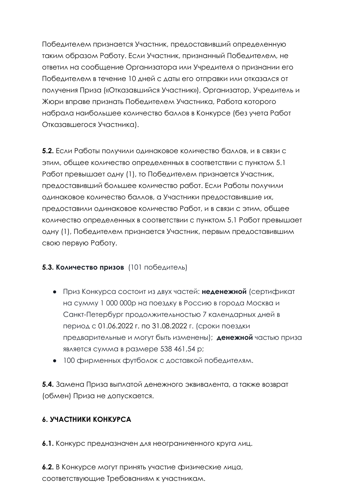Победителем признается Участник, предоставивший определенную таким образом Работу. Если Участник, признанный Победителем, не ответил на сообщение Организатора или Учредителя о признании его Победителем в течение 10 дней с даты его отправки или отказался от получения Приза («Отказавшийся Участник»), Организатор, Учредитель и Жюри вправе признать Победителем Участника, Работа которого набрала наибольшее количество баллов в Конкурсе (без учета Работ Отказавшегося Участника).

**5.2.** Если Работы получили одинаковое количество баллов, и в связи с этим, общее количество определенных в соответствии с пунктом 5.1 Работ превышает одну (1), то Победителем признается Участник, предоставивший большее количество работ. Если Работы получили одинаковое количество баллов, а Участники предоставившие их, предоставили одинаковое количество Работ, и в связи с этим, общее количество определенных в соответствии с пунктом 5.1 Работ превышает одну (1), Победителем признается Участник, первым предоставившим свою первую Работу.

## **5.3. Количество призов** (101 победитель)

- Приз Конкурса состоит из двух частей: **неденежной** (сертификат на сумму 1 000 000р на поездку в Россию в города Москва и Санкт-Петербург продолжительностью 7 календарных дней в период с 01.06.2022 г. по 31.08.2022 г. (сроки поездки предварительные и могут быть изменены); **денежной** частью приза является сумма в размере 538 461,54 р;
- 100 фирменных футболок с доставкой победителям.

**5.4.** Замена Приза выплатой денежного эквивалента, а также возврат (обмен) Приза не допускается.

# **6. УЧАСТНИКИ КОНКУРСА**

**6.1.** Конкурс предназначен для неограниченного круга лиц.

**6.2.** В Конкурсе могут принять участие физические лица, соответствующие Требованиям к участникам.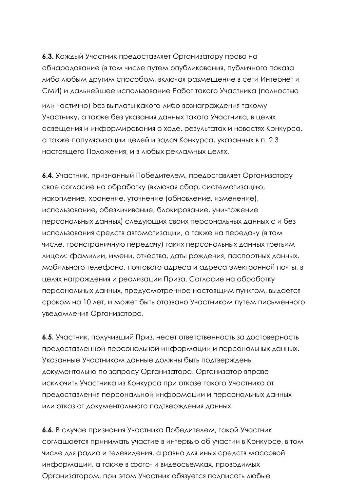**6.3.** Каждый Участник предоставляет Организатору право на обнародование (в том числе путем опубликования, публичного показа либо любым другим способом, включая размещение в сети Интернет и СМИ) и дальнейшее использование Работ такого Участника (полностью или частично) без выплаты какого-либо вознаграждения такому Участнику, а также без указания данных такого Участника, в целях освещения и информирования о ходе, результатах и новостях Конкурса, а также популяризации целей и задач Конкурса, указанных в п. 2.3 настоящего Положения, и в любых рекламных целях.

**6.4.** Участник, признанный Победителем, предоставляет Организатору свое согласие на обработку (включая сбор, систематизацию, накопление, хранение, уточнение (обновление, изменение), использование, обезличивание, блокирование, уничтожение персональных данных) следующих своих персональных данных с и без использования средств автоматизации, а также на передачу (в том числе, трансграничную передачу) таких персональных данных третьим лицам: фамилии, имени, отчества, даты рождения, паспортных данных, мобильного телефона, почтового адреса и адреса электронной почты, в целях награждения и реализации Приза. Согласие на обработку персональных данных, предусмотренное настоящим пунктом, выдается сроком на 10 лет, и может быть отозвано Участником путем письменного уведомления Организатора.

**6.5.** Участник, получивший Приз, несет ответственность за достоверность предоставленной персональной информации и персональных данных. Указанные Участником данные должны быть подтверждены документально по запросу Организатора. Организатор вправе исключить Участника из Конкурса при отказе такого Участника от предоставления персональной информации и персональных данных или отказ от документального подтверждения данных.

**6.6.** В случае признания Участника Победителем, такой Участник соглашается принимать участие в интервью об участии в Конкурсе, в том числе для радио и телевидения, а равно для иных средств массовой информации, а также в фото- и видеосъемках, проводимых Организатором, при этом Участник обязуется подписать любые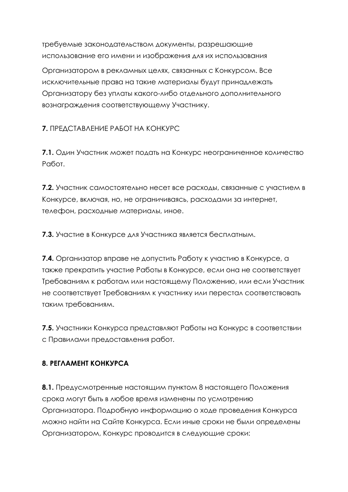требуемые законодательством документы, разрешающие использование его имени и изображения для их использования

Организатором в рекламных целях, связанных с Конкурсом. Все исключительные права на такие материалы будут принадлежать Организатору без уплаты какого-либо отдельного дополнительного вознаграждения соответствующему Участнику.

**7.** ПРЕДСТАВЛЕНИЕ РАБОТ НА КОНКУРС

**7.1.** Один Участник может подать на Конкурс неограниченное количество Работ.

**7.2.** Участник самостоятельно несет все расходы, связанные с участием в Конкурсе, включая, но, не ограничиваясь, расходами за интернет, телефон, расходные материалы, иное.

**7.3.** Участие в Конкурсе для Участника является бесплатным.

**7.4.** Организатор вправе не допустить Работу к участию в Конкурсе, а также прекратить участие Работы в Конкурсе, если она не соответствует Требованиям к работам или настоящему Положению, или если Участник не соответствует Требованиям к участнику или перестал соответствовать таким требованиям.

**7.5.** Участники Конкурса представляют Работы на Конкурс в соответствии с Правилами предоставления работ.

# **8. РЕГЛАМЕНТ КОНКУРСА**

**8.1.** Предусмотренные настоящим пунктом 8 настоящего Положения срока могут быть в любое время изменены по усмотрению Организатора. Подробную информацию о ходе проведения Конкурса можно найти на Сайте Конкурса. Если иные сроки не были определены Организатором, Конкурс проводится в следующие сроки: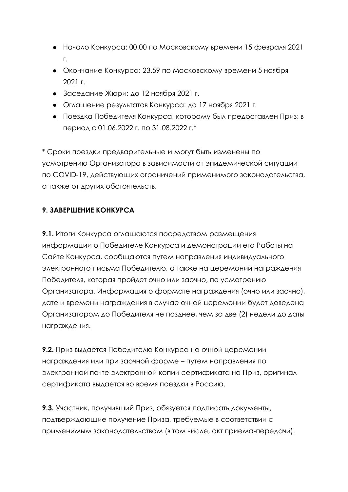- Начало Конкурса: 00.00 по Московскому времени 15 февраля 2021 г.
- Окончание Конкурса: 23.59 по Московскому времени 5 ноября 2021 г.
- Заседание Жюри: до 12 ноября 2021 г.
- Оглашение результатов Конкурса: до 17 ноября 2021 г.
- Поездка Победителя Конкурса, которому был предоставлен Приз: в период с 01.06.2022 г. по 31.08.2022 г.\*

\* Сроки поездки предварительные и могут быть изменены по усмотрению Организатора в зависимости от эпидемической ситуации по COVID-19, действующих ограничений применимого законодательства, а также от других обстоятельств.

# **9. ЗАВЕРШЕНИЕ КОНКУРСА**

**9.1.** Итоги Конкурса оглашаются посредством размещения информации о Победителе Конкурса и демонстрации его Работы на Сайте Конкурса, сообщаются путем направления индивидуального электронного письма Победителю, а также на церемонии награждения Победителя, которая пройдет очно или заочно, по усмотрению Организатора. Информация о формате награждения (очно или заочно), дате и времени награждения в случае очной церемонии будет доведена Организатором до Победителя не позднее, чем за две (2) недели до даты награждения.

**9.2.** Приз выдается Победителю Конкурса на очной церемонии награждения или при заочной форме – путем направления по электронной почте электронной копии сертификата на Приз, оригинал сертификата выдается во время поездки в Россию.

**9.3.** Участник, получивший Приз, обязуется подписать документы, подтверждающие получение Приза, требуемые в соответствии с применимым законодательством (в том числе, акт приема-передачи).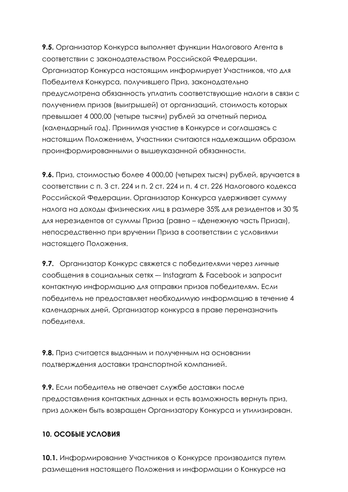**9.5.** Организатор Конкурса выполняет функции Налогового Агента в соответствии с законодательством Российской Федерации. Организатор Конкурса настоящим информирует Участников, что для Победителя Конкурса, получившего Приз, законодательно предусмотрена обязанность уплатить соответствующие налоги в связи с получением призов (выигрышей) от организаций, стоимость которых превышает 4 000,00 (четыре тысячи) рублей за отчетный период (календарный год). Принимая участие в Конкурсе и соглашаясь с настоящим Положением, Участники считаются надлежащим образом проинформированными о вышеуказанной обязанности.

**9.6.** Приз, стоимостью более 4 000,00 (четырех тысяч) рублей, вручается в соответствии с п. 3 ст. 224 и п. 2 ст. 224 и п. 4 ст. 226 Налогового кодекса Российской Федерации. Организатор Конкурса удерживает сумму налога на доходы физических лиц в размере 35% для резидентов и 30 % для нерезидентов от суммы Приза (равно – «Денежную часть Приза»), непосредственно при вручении Приза в соответствии с условиями настоящего Положения.

**9.7.** Организатор Конкурс свяжется с победителями через личные сообщения в социальных сетях –- Instagram & Facebook и запросит контактную информацию для отправки призов победителям. Если победитель не предоставляет необходимую информацию в течение 4 календарных дней, Организатор конкурса в праве переназначить победителя.

**9.8.** Приз считается выданным и полученным на основании подтверждения доставки транспортной компанией.

**9.9.** Если победитель не отвечает службе доставки после предоставления контактных данных и есть возможность вернуть приз, приз должен быть возвращен Организатору Конкурса и утилизирован.

## **10. ОСОБЫЕ УСЛОВИЯ**

**10.1.** Информирование Участников о Конкурсе производится путем размещения настоящего Положения и информации о Конкурсе на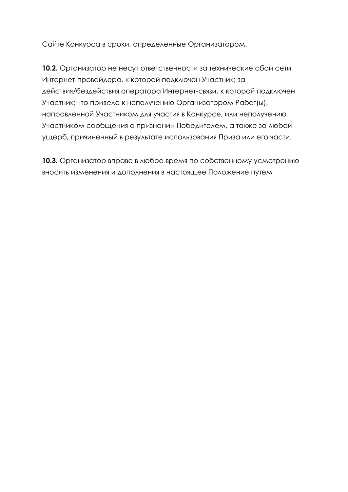Сайте Конкурса в сроки, определенные Организатором.

**10.2.** Организатор не несут ответственности за технические сбои сети Интернет-провайдера, к которой подключен Участник; за действия/бездействия оператора Интернет-связи, к которой подключен Участник; что привело к неполучению Организатором Работ(ы), направленной Участником для участия в Конкурсе, или неполучению Участником сообщения о признании Победителем, а также за любой ущерб, причиненный в результате использования Приза или его части.

**10.3.** Организатор вправе в любое время по собственному усмотрению вносить изменения и дополнения в настоящее Положение путем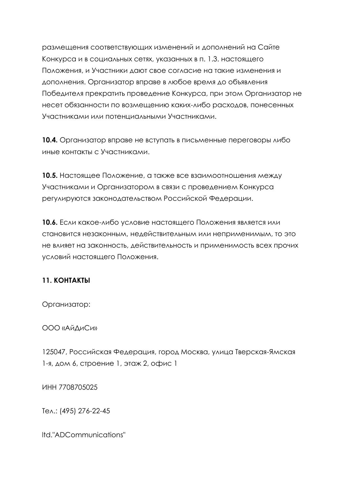размещения соответствующих изменений и дополнений на Сайте Конкурса и в социальных сетях, указанных в п. 1.3. настоящего Положения, и Участники дают свое согласие на такие изменения и дополнения. Организатор вправе в любое время до объявления Победителя прекратить проведение Конкурса, при этом Организатор не несет обязанности по возмещению каких-либо расходов, понесенных Участниками или потенциальными Участниками.

**10.4.** Организатор вправе не вступать в письменные переговоры либо иные контакты с Участниками.

**10.5.** Настоящее Положение, а также все взаимоотношения между Участниками и Организатором в связи с проведением Конкурса регулируются законодательством Российской Федерации.

**10.6.** Если какое-либо условие настоящего Положения является или становится незаконным, недействительным или неприменимым, то это не влияет на законность, действительность и применимость всех прочих условий настоящего Положения.

## **11. КОНТАКТЫ**

Организатор:

ООО «АйДиСи»

125047, Российская Федерация, город Москва, улица Тверская-Ямская 1-я, дом 6, строение 1, этаж 2, офис 1

ИНН 7708705025

Тел.: (495) 276-22-45

ltd."ADCommunications"